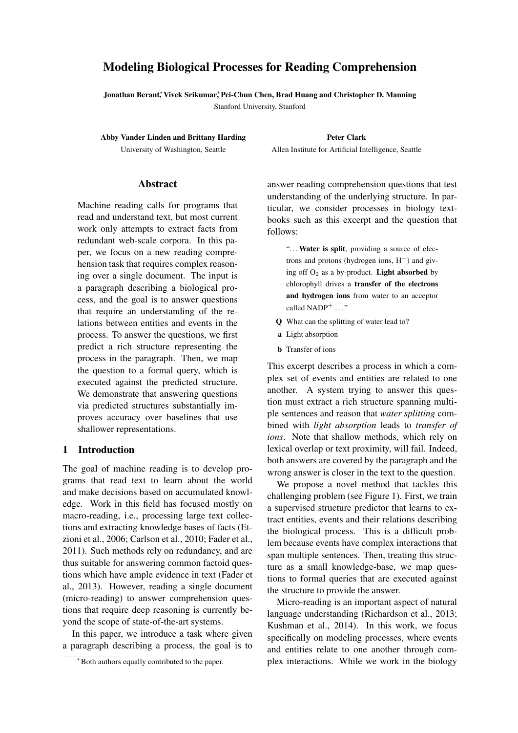# Modeling Biological Processes for Reading Comprehension

Jonathan Berant,\* Vivek Srikumar,\* Pei-Chun Chen, Brad Huang and Christopher D. Manning

Stanford University, Stanford

Abby Vander Linden and Brittany Harding University of Washington, Seattle

Peter Clark Allen Institute for Artificial Intelligence, Seattle

#### Abstract

Machine reading calls for programs that read and understand text, but most current work only attempts to extract facts from redundant web-scale corpora. In this paper, we focus on a new reading comprehension task that requires complex reasoning over a single document. The input is a paragraph describing a biological process, and the goal is to answer questions that require an understanding of the relations between entities and events in the process. To answer the questions, we first predict a rich structure representing the process in the paragraph. Then, we map the question to a formal query, which is executed against the predicted structure. We demonstrate that answering questions via predicted structures substantially improves accuracy over baselines that use shallower representations.

### 1 Introduction

The goal of machine reading is to develop programs that read text to learn about the world and make decisions based on accumulated knowledge. Work in this field has focused mostly on macro-reading, i.e., processing large text collections and extracting knowledge bases of facts (Etzioni et al., 2006; Carlson et al., 2010; Fader et al., 2011). Such methods rely on redundancy, and are thus suitable for answering common factoid questions which have ample evidence in text (Fader et al., 2013). However, reading a single document (micro-reading) to answer comprehension questions that require deep reasoning is currently beyond the scope of state-of-the-art systems.

In this paper, we introduce a task where given a paragraph describing a process, the goal is to

answer reading comprehension questions that test understanding of the underlying structure. In particular, we consider processes in biology textbooks such as this excerpt and the question that follows:

"... Water is split, providing a source of electrons and protons (hydrogen ions,  $H^+$ ) and giving off  $O_2$  as a by-product. Light absorbed by chlorophyll drives a transfer of the electrons and hydrogen ions from water to an acceptor called NADP<sup>+</sup> ..."

- Q What can the splitting of water lead to?
- a Light absorption
- **b** Transfer of ions

This excerpt describes a process in which a complex set of events and entities are related to one another. A system trying to answer this question must extract a rich structure spanning multiple sentences and reason that *water splitting* combined with *light absorption* leads to *transfer of ions*. Note that shallow methods, which rely on lexical overlap or text proximity, will fail. Indeed, both answers are covered by the paragraph and the wrong answer is closer in the text to the question.

We propose a novel method that tackles this challenging problem (see Figure 1). First, we train a supervised structure predictor that learns to extract entities, events and their relations describing the biological process. This is a difficult problem because events have complex interactions that span multiple sentences. Then, treating this structure as a small knowledge-base, we map questions to formal queries that are executed against the structure to provide the answer.

Micro-reading is an important aspect of natural language understanding (Richardson et al., 2013; Kushman et al., 2014). In this work, we focus specifically on modeling processes, where events and entities relate to one another through complex interactions. While we work in the biology

<sup>∗</sup>Both authors equally contributed to the paper.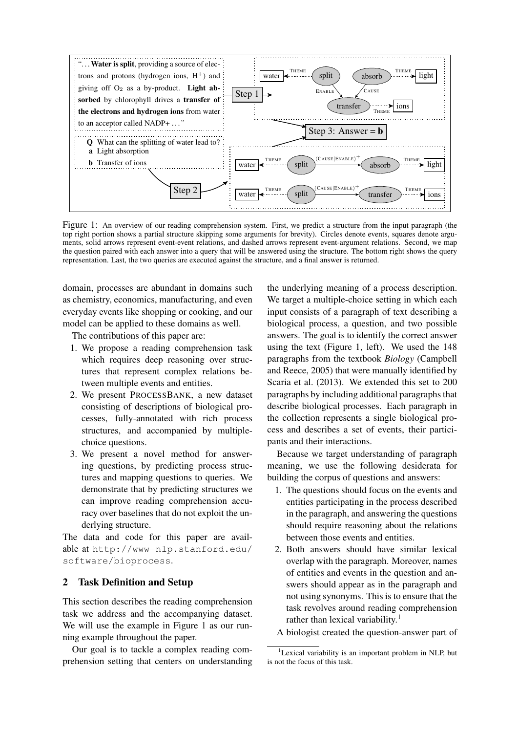

Figure 1: An overview of our reading comprehension system. First, we predict a structure from the input paragraph (the top right portion shows a partial structure skipping some arguments for brevity). Circles denote events, squares denote arguments, solid arrows represent event-event relations, and dashed arrows represent event-argument relations. Second, we map the question paired with each answer into a query that will be answered using the structure. The bottom right shows the query representation. Last, the two queries are executed against the structure, and a final answer is returned.

domain, processes are abundant in domains such as chemistry, economics, manufacturing, and even everyday events like shopping or cooking, and our model can be applied to these domains as well.

The contributions of this paper are:

- 1. We propose a reading comprehension task which requires deep reasoning over structures that represent complex relations between multiple events and entities.
- 2. We present PROCESSBANK, a new dataset consisting of descriptions of biological processes, fully-annotated with rich process structures, and accompanied by multiplechoice questions.
- 3. We present a novel method for answering questions, by predicting process structures and mapping questions to queries. We demonstrate that by predicting structures we can improve reading comprehension accuracy over baselines that do not exploit the underlying structure.

The data and code for this paper are available at http://www-nlp.stanford.edu/ software/bioprocess.

# 2 Task Definition and Setup

This section describes the reading comprehension task we address and the accompanying dataset. We will use the example in Figure 1 as our running example throughout the paper.

Our goal is to tackle a complex reading comprehension setting that centers on understanding

the underlying meaning of a process description. We target a multiple-choice setting in which each input consists of a paragraph of text describing a biological process, a question, and two possible answers. The goal is to identify the correct answer using the text (Figure 1, left). We used the 148 paragraphs from the textbook *Biology* (Campbell and Reece, 2005) that were manually identified by Scaria et al. (2013). We extended this set to 200 paragraphs by including additional paragraphs that describe biological processes. Each paragraph in the collection represents a single biological process and describes a set of events, their participants and their interactions.

Because we target understanding of paragraph meaning, we use the following desiderata for building the corpus of questions and answers:

- 1. The questions should focus on the events and entities participating in the process described in the paragraph, and answering the questions should require reasoning about the relations between those events and entities.
- 2. Both answers should have similar lexical overlap with the paragraph. Moreover, names of entities and events in the question and answers should appear as in the paragraph and not using synonyms. This is to ensure that the task revolves around reading comprehension rather than lexical variability.<sup>1</sup>
- A biologist created the question-answer part of

<sup>&</sup>lt;sup>1</sup>Lexical variability is an important problem in NLP, but is not the focus of this task.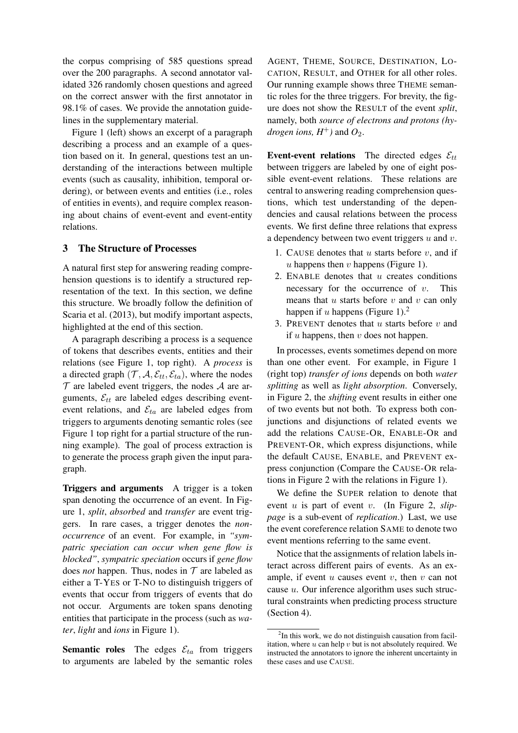the corpus comprising of 585 questions spread over the 200 paragraphs. A second annotator validated 326 randomly chosen questions and agreed on the correct answer with the first annotator in 98.1% of cases. We provide the annotation guidelines in the supplementary material.

Figure 1 (left) shows an excerpt of a paragraph describing a process and an example of a question based on it. In general, questions test an understanding of the interactions between multiple events (such as causality, inhibition, temporal ordering), or between events and entities (i.e., roles of entities in events), and require complex reasoning about chains of event-event and event-entity relations.

### 3 The Structure of Processes

A natural first step for answering reading comprehension questions is to identify a structured representation of the text. In this section, we define this structure. We broadly follow the definition of Scaria et al. (2013), but modify important aspects, highlighted at the end of this section.

A paragraph describing a process is a sequence of tokens that describes events, entities and their relations (see Figure 1, top right). A *process* is a directed graph  $(\mathcal{T}, \mathcal{A}, \mathcal{E}_{tt}, \mathcal{E}_{ta})$ , where the nodes  $\mathcal T$  are labeled event triggers, the nodes  $\mathcal A$  are arguments,  $\mathcal{E}_{tt}$  are labeled edges describing eventevent relations, and  $\mathcal{E}_{ta}$  are labeled edges from triggers to arguments denoting semantic roles (see Figure 1 top right for a partial structure of the running example). The goal of process extraction is to generate the process graph given the input paragraph.

Triggers and arguments A trigger is a token span denoting the occurrence of an event. In Figure 1, *split*, *absorbed* and *transfer* are event triggers. In rare cases, a trigger denotes the *nonoccurrence* of an event. For example, in *"sympatric speciation can occur when gene flow is blocked"*, *sympatric speciation* occurs if *gene flow* does *not* happen. Thus, nodes in  $T$  are labeled as either a T-YES or T-NO to distinguish triggers of events that occur from triggers of events that do not occur. Arguments are token spans denoting entities that participate in the process (such as *water*, *light* and *ions* in Figure 1).

**Semantic roles** The edges  $\mathcal{E}_{ta}$  from triggers to arguments are labeled by the semantic roles

AGENT, THEME, SOURCE, DESTINATION, LO-CATION, RESULT, and OTHER for all other roles. Our running example shows three THEME semantic roles for the three triggers. For brevity, the figure does not show the RESULT of the event *split*, namely, both *source of electrons and protons (hydrogen ions,*  $H^+$ *)* and  $O_2$ .

Event-event relations The directed edges  $\mathcal{E}_{tt}$ between triggers are labeled by one of eight possible event-event relations. These relations are central to answering reading comprehension questions, which test understanding of the dependencies and causal relations between the process events. We first define three relations that express a dependency between two event triggers  $u$  and  $v$ .

- 1. CAUSE denotes that  $u$  starts before  $v$ , and if  $u$  happens then  $v$  happens (Figure 1).
- 2. ENABLE denotes that  $u$  creates conditions necessary for the occurrence of  $v$ . This means that  $u$  starts before  $v$  and  $v$  can only happen if u happens (Figure 1).<sup>2</sup>
- 3. PREVENT denotes that  $u$  starts before  $v$  and if  $u$  happens, then  $v$  does not happen.

In processes, events sometimes depend on more than one other event. For example, in Figure 1 (right top) *transfer of ions* depends on both *water splitting* as well as *light absorption*. Conversely, in Figure 2, the *shifting* event results in either one of two events but not both. To express both conjunctions and disjunctions of related events we add the relations CAUSE-OR, ENABLE-OR and PREVENT-OR, which express disjunctions, while the default CAUSE, ENABLE, and PREVENT express conjunction (Compare the CAUSE-OR relations in Figure 2 with the relations in Figure 1).

We define the SUPER relation to denote that event u is part of event v. (In Figure 2, *slippage* is a sub-event of *replication*.) Last, we use the event coreference relation SAME to denote two event mentions referring to the same event.

Notice that the assignments of relation labels interact across different pairs of events. As an example, if event  $u$  causes event  $v$ , then  $v$  can not cause  $u$ . Our inference algorithm uses such structural constraints when predicting process structure (Section 4).

<sup>&</sup>lt;sup>2</sup>In this work, we do not distinguish causation from facilitation, where  $u$  can help  $v$  but is not absolutely required. We instructed the annotators to ignore the inherent uncertainty in these cases and use CAUSE.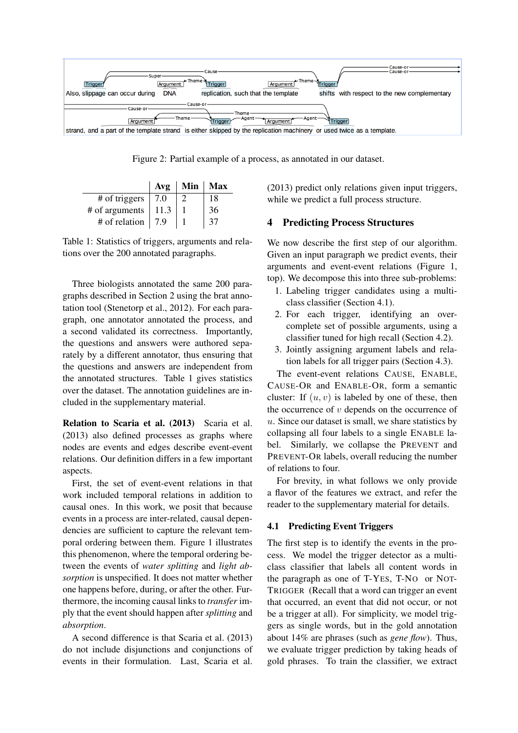

Figure 2: Partial example of a process, as annotated in our dataset.

|                | Avg  | Min | Max |
|----------------|------|-----|-----|
| # of triggers  | 7.0  |     | 18  |
| # of arguments | 11.3 |     | 36  |
| # of relation  |      |     |     |

Table 1: Statistics of triggers, arguments and relations over the 200 annotated paragraphs.

Three biologists annotated the same 200 paragraphs described in Section 2 using the brat annotation tool (Stenetorp et al., 2012). For each paragraph, one annotator annotated the process, and a second validated its correctness. Importantly, the questions and answers were authored separately by a different annotator, thus ensuring that the questions and answers are independent from the annotated structures. Table 1 gives statistics over the dataset. The annotation guidelines are included in the supplementary material.

Relation to Scaria et al. (2013) Scaria et al. (2013) also defined processes as graphs where nodes are events and edges describe event-event relations. Our definition differs in a few important aspects.

First, the set of event-event relations in that work included temporal relations in addition to causal ones. In this work, we posit that because events in a process are inter-related, causal dependencies are sufficient to capture the relevant temporal ordering between them. Figure 1 illustrates this phenomenon, where the temporal ordering between the events of *water splitting* and *light absorption* is unspecified. It does not matter whether one happens before, during, or after the other. Furthermore, the incoming causal links to *transfer* imply that the event should happen after *splitting* and *absorption*.

A second difference is that Scaria et al. (2013) do not include disjunctions and conjunctions of events in their formulation. Last, Scaria et al. (2013) predict only relations given input triggers, while we predict a full process structure.

# 4 Predicting Process Structures

We now describe the first step of our algorithm. Given an input paragraph we predict events, their arguments and event-event relations (Figure 1, top). We decompose this into three sub-problems:

- 1. Labeling trigger candidates using a multiclass classifier (Section 4.1).
- 2. For each trigger, identifying an overcomplete set of possible arguments, using a classifier tuned for high recall (Section 4.2).
- 3. Jointly assigning argument labels and relation labels for all trigger pairs (Section 4.3).

The event-event relations CAUSE, ENABLE, CAUSE-OR and ENABLE-OR, form a semantic cluster: If  $(u, v)$  is labeled by one of these, then the occurrence of  $v$  depends on the occurrence of u. Since our dataset is small, we share statistics by collapsing all four labels to a single ENABLE label. Similarly, we collapse the PREVENT and PREVENT-OR labels, overall reducing the number of relations to four.

For brevity, in what follows we only provide a flavor of the features we extract, and refer the reader to the supplementary material for details.

# 4.1 Predicting Event Triggers

The first step is to identify the events in the process. We model the trigger detector as a multiclass classifier that labels all content words in the paragraph as one of T-YES, T-NO or NOT-TRIGGER (Recall that a word can trigger an event that occurred, an event that did not occur, or not be a trigger at all). For simplicity, we model triggers as single words, but in the gold annotation about 14% are phrases (such as *gene flow*). Thus, we evaluate trigger prediction by taking heads of gold phrases. To train the classifier, we extract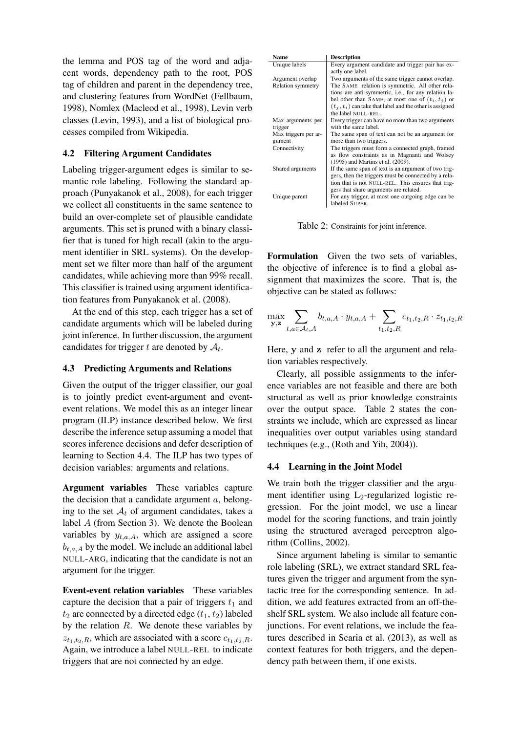the lemma and POS tag of the word and adjacent words, dependency path to the root, POS tag of children and parent in the dependency tree, and clustering features from WordNet (Fellbaum, 1998), Nomlex (Macleod et al., 1998), Levin verb classes (Levin, 1993), and a list of biological processes compiled from Wikipedia.

# 4.2 Filtering Argument Candidates

Labeling trigger-argument edges is similar to semantic role labeling. Following the standard approach (Punyakanok et al., 2008), for each trigger we collect all constituents in the same sentence to build an over-complete set of plausible candidate arguments. This set is pruned with a binary classifier that is tuned for high recall (akin to the argument identifier in SRL systems). On the development set we filter more than half of the argument candidates, while achieving more than 99% recall. This classifier is trained using argument identification features from Punyakanok et al. (2008).

At the end of this step, each trigger has a set of candidate arguments which will be labeled during joint inference. In further discussion, the argument candidates for trigger t are denoted by  $A_t$ .

### 4.3 Predicting Arguments and Relations

Given the output of the trigger classifier, our goal is to jointly predict event-argument and eventevent relations. We model this as an integer linear program (ILP) instance described below. We first describe the inference setup assuming a model that scores inference decisions and defer description of learning to Section 4.4. The ILP has two types of decision variables: arguments and relations.

Argument variables These variables capture the decision that a candidate argument  $a$ , belonging to the set  $A_t$  of argument candidates, takes a label A (from Section 3). We denote the Boolean variables by  $y_{t,a,A}$ , which are assigned a score  $b_{t,a,A}$  by the model. We include an additional label NULL-ARG, indicating that the candidate is not an argument for the trigger.

Event-event relation variables These variables capture the decision that a pair of triggers  $t_1$  and  $t_2$  are connected by a directed edge  $(t_1, t_2)$  labeled by the relation  $R$ . We denote these variables by  $z_{t_1,t_2,R}$ , which are associated with a score  $c_{t_1,t_2,R}$ . Again, we introduce a label NULL-REL to indicate triggers that are not connected by an edge.

| Name                     | <b>Description</b>                                         |
|--------------------------|------------------------------------------------------------|
| Unique labels            | Every argument candidate and trigger pair has ex-          |
|                          | actly one label.                                           |
| Argument overlap         | Two arguments of the same trigger cannot overlap.          |
| <b>Relation symmetry</b> | The SAME relation is symmetric. All other rela-            |
|                          | tions are anti-symmetric, i.e., for any relation la-       |
|                          | bel other than SAME, at most one of $(t_i, t_i)$ or        |
|                          | $(t_i, t_i)$ can take that label and the other is assigned |
|                          | the label NULL-REL.                                        |
| Max arguments per        | Every trigger can have no more than two arguments          |
| trigger                  | with the same label.                                       |
| Max triggers per ar-     | The same span of text can not be an argument for           |
| gument                   | more than two triggers.                                    |
| Connectivity             | The triggers must form a connected graph, framed           |
|                          | as flow constraints as in Magnanti and Wolsey              |
|                          | (1995) and Martins et al. (2009).                          |
| Shared arguments         | If the same span of text is an argument of two trig-       |
|                          | gers, then the triggers must be connected by a rela-       |
|                          | tion that is not NULL-REL. This ensures that trig-         |
|                          | gers that share arguments are related.                     |
| Unique parent            | For any trigger, at most one outgoing edge can be.         |
|                          | labeled SUPER.                                             |

Table 2: Constraints for joint inference.

Formulation Given the two sets of variables, the objective of inference is to find a global assignment that maximizes the score. That is, the objective can be stated as follows:

$$
\max_{\mathbf{y},\mathbf{z}} \sum_{t,a \in \mathcal{A}_t, A} b_{t,a,A} \cdot y_{t,a,A} + \sum_{t_1,t_2,R} c_{t_1,t_2,R} \cdot z_{t_1,t_2,R}
$$

Here, y and z refer to all the argument and relation variables respectively.

Clearly, all possible assignments to the inference variables are not feasible and there are both structural as well as prior knowledge constraints over the output space. Table 2 states the constraints we include, which are expressed as linear inequalities over output variables using standard techniques (e.g., (Roth and Yih, 2004)).

### 4.4 Learning in the Joint Model

We train both the trigger classifier and the argument identifier using  $L_2$ -regularized logistic regression. For the joint model, we use a linear model for the scoring functions, and train jointly using the structured averaged perceptron algorithm (Collins, 2002).

Since argument labeling is similar to semantic role labeling (SRL), we extract standard SRL features given the trigger and argument from the syntactic tree for the corresponding sentence. In addition, we add features extracted from an off-theshelf SRL system. We also include all feature conjunctions. For event relations, we include the features described in Scaria et al. (2013), as well as context features for both triggers, and the dependency path between them, if one exists.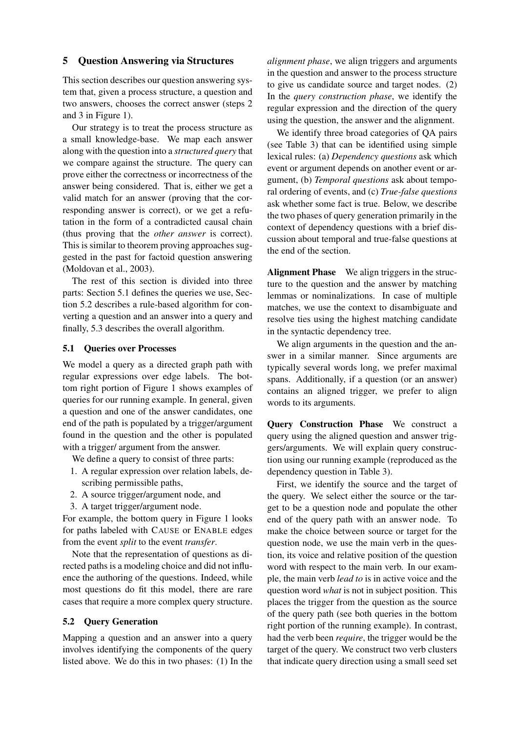## 5 Question Answering via Structures

This section describes our question answering system that, given a process structure, a question and two answers, chooses the correct answer (steps 2 and 3 in Figure 1).

Our strategy is to treat the process structure as a small knowledge-base. We map each answer along with the question into a *structured query* that we compare against the structure. The query can prove either the correctness or incorrectness of the answer being considered. That is, either we get a valid match for an answer (proving that the corresponding answer is correct), or we get a refutation in the form of a contradicted causal chain (thus proving that the *other answer* is correct). This is similar to theorem proving approaches suggested in the past for factoid question answering (Moldovan et al., 2003).

The rest of this section is divided into three parts: Section 5.1 defines the queries we use, Section 5.2 describes a rule-based algorithm for converting a question and an answer into a query and finally, 5.3 describes the overall algorithm.

### 5.1 Queries over Processes

We model a query as a directed graph path with regular expressions over edge labels. The bottom right portion of Figure 1 shows examples of queries for our running example. In general, given a question and one of the answer candidates, one end of the path is populated by a trigger/argument found in the question and the other is populated with a trigger/ argument from the answer.

We define a query to consist of three parts:

- 1. A regular expression over relation labels, describing permissible paths,
- 2. A source trigger/argument node, and
- 3. A target trigger/argument node.

For example, the bottom query in Figure 1 looks for paths labeled with CAUSE or ENABLE edges from the event *split* to the event *transfer*.

Note that the representation of questions as directed paths is a modeling choice and did not influence the authoring of the questions. Indeed, while most questions do fit this model, there are rare cases that require a more complex query structure.

#### 5.2 Query Generation

Mapping a question and an answer into a query involves identifying the components of the query listed above. We do this in two phases: (1) In the *alignment phase*, we align triggers and arguments in the question and answer to the process structure to give us candidate source and target nodes. (2) In the *query construction phase*, we identify the regular expression and the direction of the query using the question, the answer and the alignment.

We identify three broad categories of QA pairs (see Table 3) that can be identified using simple lexical rules: (a) *Dependency questions* ask which event or argument depends on another event or argument, (b) *Temporal questions* ask about temporal ordering of events, and (c) *True-false questions* ask whether some fact is true. Below, we describe the two phases of query generation primarily in the context of dependency questions with a brief discussion about temporal and true-false questions at the end of the section.

Alignment Phase We align triggers in the structure to the question and the answer by matching lemmas or nominalizations. In case of multiple matches, we use the context to disambiguate and resolve ties using the highest matching candidate in the syntactic dependency tree.

We align arguments in the question and the answer in a similar manner. Since arguments are typically several words long, we prefer maximal spans. Additionally, if a question (or an answer) contains an aligned trigger, we prefer to align words to its arguments.

Query Construction Phase We construct a query using the aligned question and answer triggers/arguments. We will explain query construction using our running example (reproduced as the dependency question in Table 3).

First, we identify the source and the target of the query. We select either the source or the target to be a question node and populate the other end of the query path with an answer node. To make the choice between source or target for the question node, we use the main verb in the question, its voice and relative position of the question word with respect to the main verb. In our example, the main verb *lead to* is in active voice and the question word *what* is not in subject position. This places the trigger from the question as the source of the query path (see both queries in the bottom right portion of the running example). In contrast, had the verb been *require*, the trigger would be the target of the query. We construct two verb clusters that indicate query direction using a small seed set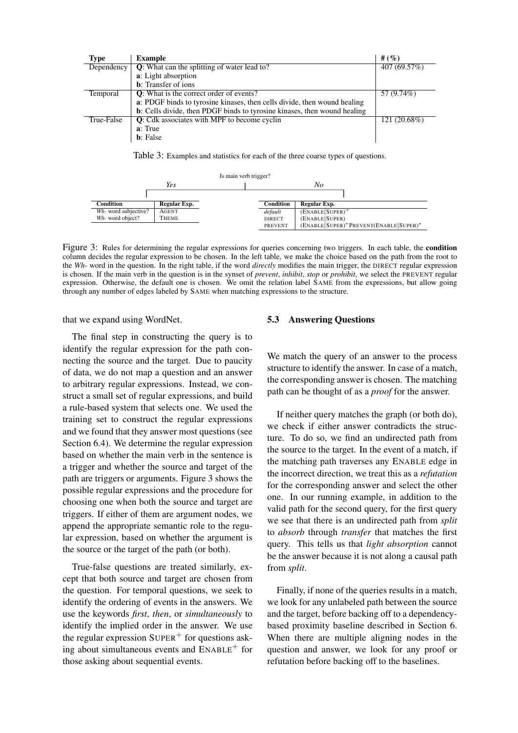| <b>Type</b> | <b>Example</b>                                                           | # $(%$       |
|-------------|--------------------------------------------------------------------------|--------------|
| Dependency  | <b>Q</b> : What can the splitting of water lead to?                      | 407 (69.57%) |
|             | a: Light absorption                                                      |              |
|             | <b>b</b> : Transfer of ions                                              |              |
| Temporal    | <b>Q</b> : What is the correct order of events?                          | 57 (9.74%)   |
|             | a: PDGF binds to tyrosine kinases, then cells divide, then wound healing |              |
|             | b: Cells divide, then PDGF binds to tyrosine kinases, then wound healing |              |
| True-False  | Q: Cdk associates with MPF to become cyclin                              | 121 (20.68%) |
|             | a: True                                                                  |              |
|             | <b>b</b> : False                                                         |              |

Table 3: Examples and statistics for each of the three coarse types of questions.

| Is main verb trigger? |              |  |               |                                        |  |
|-----------------------|--------------|--|---------------|----------------------------------------|--|
|                       | Yes          |  | No            |                                        |  |
|                       |              |  |               |                                        |  |
| Condition             | Regular Exp. |  | Condition     | Regular Exp.                           |  |
| Wh- word subjective?  | AGENT        |  | default       | $(ENABLE SUPER)^+$                     |  |
| Wh- word object?      | THEME        |  | <b>DIRECT</b> | (ENABLE SUPER)                         |  |
|                       |              |  | PREVENT       | (ENABLE SUPER)* PREVENT(ENABLE SUPER)* |  |

Figure 3: Rules for determining the regular expressions for queries concerning two triggers. In each table, the condition column decides the regular expression to be chosen. In the left table, we make the choice based on the path from the root to the *Wh-* word in the question. In the right table, if the word *directly* modifies the main trigger, the DIRECT regular expression is chosen. If the main verb in the question is in the synset of *prevent*, *inhibit*, *stop* or *prohibit*, we select the PREVENT regular expression. Otherwise, the default one is chosen. We omit the relation label SAME from the expressions, but allow going through any number of edges labeled by SAME when matching expressions to the structure.

that we expand using WordNet.

The final step in constructing the query is to identify the regular expression for the path connecting the source and the target. Due to paucity of data, we do not map a question and an answer to arbitrary regular expressions. Instead, we construct a small set of regular expressions, and build a rule-based system that selects one. We used the training set to construct the regular expressions and we found that they answer most questions (see Section 6.4). We determine the regular expression based on whether the main verb in the sentence is a trigger and whether the source and target of the path are triggers or arguments. Figure 3 shows the possible regular expressions and the procedure for choosing one when both the source and target are triggers. If either of them are argument nodes, we append the appropriate semantic role to the regular expression, based on whether the argument is the source or the target of the path (or both).

True-false questions are treated similarly, except that both source and target are chosen from the question. For temporal questions, we seek to identify the ordering of events in the answers. We use the keywords *first*, *then*, or *simultaneously* to identify the implied order in the answer. We use the regular expression  $\text{SUPER}^+$  for questions asking about simultaneous events and  $ENABLE<sup>+</sup>$  for those asking about sequential events.

### 5.3 Answering Questions

We match the query of an answer to the process structure to identify the answer. In case of a match, the corresponding answer is chosen. The matching path can be thought of as a *proof* for the answer.

If neither query matches the graph (or both do), we check if either answer contradicts the structure. To do so, we find an undirected path from the source to the target. In the event of a match, if the matching path traverses any ENABLE edge in the incorrect direction, we treat this as a *refutation* for the corresponding answer and select the other one. In our running example, in addition to the valid path for the second query, for the first query we see that there is an undirected path from *split* to *absorb* through *transfer* that matches the first query. This tells us that *light absorption* cannot be the answer because it is not along a causal path from *split*.

Finally, if none of the queries results in a match, we look for any unlabeled path between the source and the target, before backing off to a dependencybased proximity baseline described in Section 6. When there are multiple aligning nodes in the question and answer, we look for any proof or refutation before backing off to the baselines.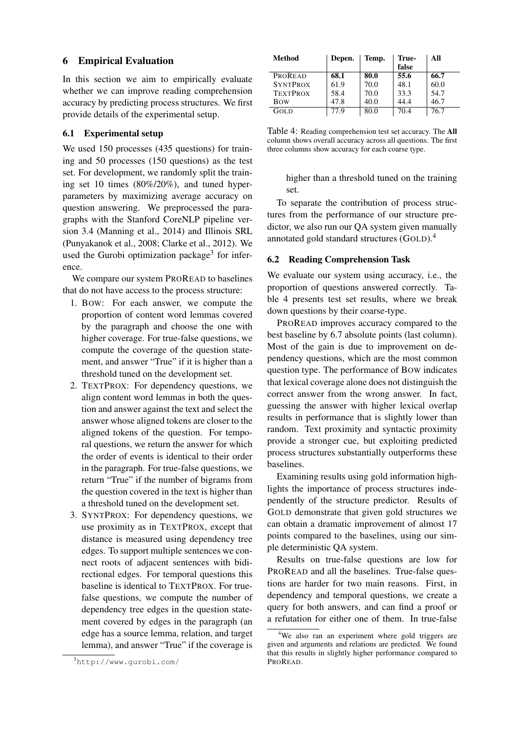# 6 Empirical Evaluation

In this section we aim to empirically evaluate whether we can improve reading comprehension accuracy by predicting process structures. We first provide details of the experimental setup.

### 6.1 Experimental setup

We used 150 processes (435 questions) for training and 50 processes (150 questions) as the test set. For development, we randomly split the training set 10 times (80%/20%), and tuned hyperparameters by maximizing average accuracy on question answering. We preprocessed the paragraphs with the Stanford CoreNLP pipeline version 3.4 (Manning et al., 2014) and Illinois SRL (Punyakanok et al., 2008; Clarke et al., 2012). We used the Gurobi optimization package<sup>3</sup> for inference.

We compare our system PROREAD to baselines that do not have access to the process structure:

- 1. BOW: For each answer, we compute the proportion of content word lemmas covered by the paragraph and choose the one with higher coverage. For true-false questions, we compute the coverage of the question statement, and answer "True" if it is higher than a threshold tuned on the development set.
- 2. TEXTPROX: For dependency questions, we align content word lemmas in both the question and answer against the text and select the answer whose aligned tokens are closer to the aligned tokens of the question. For temporal questions, we return the answer for which the order of events is identical to their order in the paragraph. For true-false questions, we return "True" if the number of bigrams from the question covered in the text is higher than a threshold tuned on the development set.
- 3. SYNTPROX: For dependency questions, we use proximity as in TEXTPROX, except that distance is measured using dependency tree edges. To support multiple sentences we connect roots of adjacent sentences with bidirectional edges. For temporal questions this baseline is identical to TEXTPROX. For truefalse questions, we compute the number of dependency tree edges in the question statement covered by edges in the paragraph (an edge has a source lemma, relation, and target lemma), and answer "True" if the coverage is

| Method          | Depen. | Temp. | True- | All  |
|-----------------|--------|-------|-------|------|
|                 |        |       | false |      |
| <b>PROREAD</b>  | 68.1   | 80.0  | 55.6  | 66.7 |
| <b>SYNTPROX</b> | 61.9   | 70.0  | 48.1  | 60.0 |
| <b>TEXTPROX</b> | 58.4   | 70.0  | 33.3  | 54.7 |
| <b>B</b> ow     | 47.8   | 40.0  | 44.4  | 46.7 |
| <b>GOLD</b>     | 77 Q   | 80.0  | 70.4  | 76.7 |

Table 4: Reading comprehension test set accuracy. The All column shows overall accuracy across all questions. The first three columns show accuracy for each coarse type.

higher than a threshold tuned on the training set.

To separate the contribution of process structures from the performance of our structure predictor, we also run our QA system given manually annotated gold standard structures (GOLD).<sup>4</sup>

### 6.2 Reading Comprehension Task

We evaluate our system using accuracy, i.e., the proportion of questions answered correctly. Table 4 presents test set results, where we break down questions by their coarse-type.

PROREAD improves accuracy compared to the best baseline by 6.7 absolute points (last column). Most of the gain is due to improvement on dependency questions, which are the most common question type. The performance of BOW indicates that lexical coverage alone does not distinguish the correct answer from the wrong answer. In fact, guessing the answer with higher lexical overlap results in performance that is slightly lower than random. Text proximity and syntactic proximity provide a stronger cue, but exploiting predicted process structures substantially outperforms these baselines.

Examining results using gold information highlights the importance of process structures independently of the structure predictor. Results of GOLD demonstrate that given gold structures we can obtain a dramatic improvement of almost 17 points compared to the baselines, using our simple deterministic QA system.

Results on true-false questions are low for PROREAD and all the baselines. True-false questions are harder for two main reasons. First, in dependency and temporal questions, we create a query for both answers, and can find a proof or a refutation for either one of them. In true-false

<sup>3</sup>http://www.gurobi.com/

<sup>&</sup>lt;sup>4</sup>We also ran an experiment where gold triggers are given and arguments and relations are predicted. We found that this results in slightly higher performance compared to PROREAD.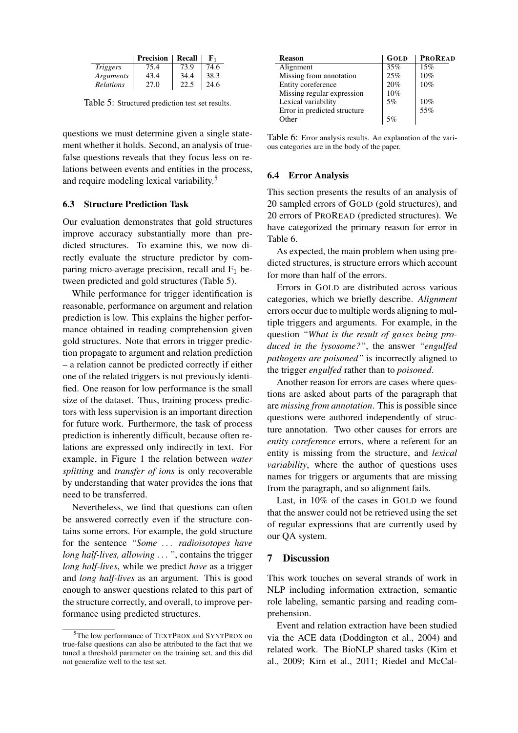|                 | <b>Precision</b> | Recall | ${\bf F}_1$ |
|-----------------|------------------|--------|-------------|
| <i>Triggers</i> | 75.4             | 73.9   | 74.6        |
| Arguments       | 43.4             | 34.4   | 38.3        |
| Relations       | 27.0             | 22.5   | 24.6        |

Table 5: Structured prediction test set results.

questions we must determine given a single statement whether it holds. Second, an analysis of truefalse questions reveals that they focus less on relations between events and entities in the process, and require modeling lexical variability.<sup>5</sup>

### 6.3 Structure Prediction Task

Our evaluation demonstrates that gold structures improve accuracy substantially more than predicted structures. To examine this, we now directly evaluate the structure predictor by comparing micro-average precision, recall and  $F_1$  between predicted and gold structures (Table 5).

While performance for trigger identification is reasonable, performance on argument and relation prediction is low. This explains the higher performance obtained in reading comprehension given gold structures. Note that errors in trigger prediction propagate to argument and relation prediction – a relation cannot be predicted correctly if either one of the related triggers is not previously identified. One reason for low performance is the small size of the dataset. Thus, training process predictors with less supervision is an important direction for future work. Furthermore, the task of process prediction is inherently difficult, because often relations are expressed only indirectly in text. For example, in Figure 1 the relation between *water splitting* and *transfer of ions* is only recoverable by understanding that water provides the ions that need to be transferred.

Nevertheless, we find that questions can often be answered correctly even if the structure contains some errors. For example, the gold structure for the sentence *"Some* . . . *radioisotopes have long half-lives, allowing* . . . *"*, contains the trigger *long half-lives*, while we predict *have* as a trigger and *long half-lives* as an argument. This is good enough to answer questions related to this part of the structure correctly, and overall, to improve performance using predicted structures.

| <b>Reason</b>                | GOLD | <b>PROREAD</b> |
|------------------------------|------|----------------|
| Alignment                    | 35%  | 15%            |
| Missing from annotation      | 25%  | 10%            |
| Entity coreference           | 20%  | 10%            |
| Missing regular expression   | 10%  |                |
| Lexical variability          | 5%   | 10%            |
| Error in predicted structure |      | 55%            |
| Other                        | 5%   |                |
|                              |      |                |

Table 6: Error analysis results. An explanation of the various categories are in the body of the paper.

#### 6.4 Error Analysis

This section presents the results of an analysis of 20 sampled errors of GOLD (gold structures), and 20 errors of PROREAD (predicted structures). We have categorized the primary reason for error in Table 6.

As expected, the main problem when using predicted structures, is structure errors which account for more than half of the errors.

Errors in GOLD are distributed across various categories, which we briefly describe. *Alignment* errors occur due to multiple words aligning to multiple triggers and arguments. For example, in the question *"What is the result of gases being produced in the lysosome?"*, the answer *"engulfed pathogens are poisoned"* is incorrectly aligned to the trigger *engulfed* rather than to *poisoned*.

Another reason for errors are cases where questions are asked about parts of the paragraph that are *missing from annotation*. This is possible since questions were authored independently of structure annotation. Two other causes for errors are *entity coreference* errors, where a referent for an entity is missing from the structure, and *lexical variability*, where the author of questions uses names for triggers or arguments that are missing from the paragraph, and so alignment fails.

Last, in 10% of the cases in GOLD we found that the answer could not be retrieved using the set of regular expressions that are currently used by our QA system.

# 7 Discussion

This work touches on several strands of work in NLP including information extraction, semantic role labeling, semantic parsing and reading comprehension.

Event and relation extraction have been studied via the ACE data (Doddington et al., 2004) and related work. The BioNLP shared tasks (Kim et al., 2009; Kim et al., 2011; Riedel and McCal-

<sup>&</sup>lt;sup>5</sup>The low performance of TEXTPROX and SYNTPROX on true-false questions can also be attributed to the fact that we tuned a threshold parameter on the training set, and this did not generalize well to the test set.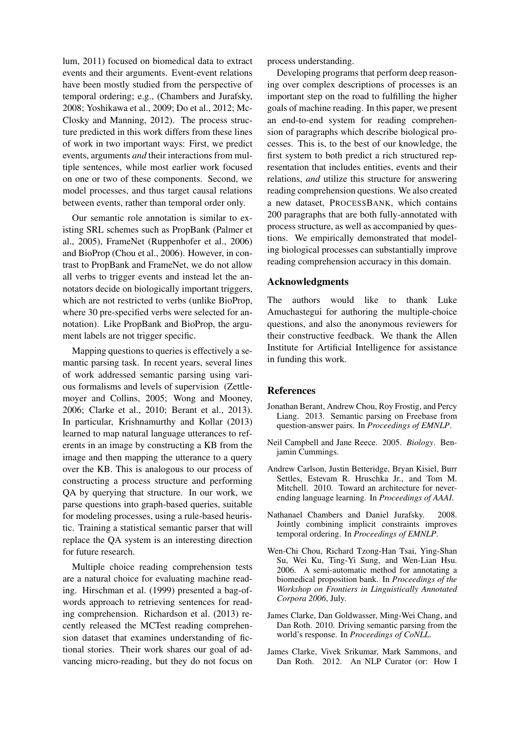lum, 2011) focused on biomedical data to extract events and their arguments. Event-event relations have been mostly studied from the perspective of temporal ordering; e.g., (Chambers and Jurafsky, 2008; Yoshikawa et al., 2009; Do et al., 2012; Mc-Closky and Manning, 2012). The process structure predicted in this work differs from these lines of work in two important ways: First, we predict events, arguments *and* their interactions from multiple sentences, while most earlier work focused on one or two of these components. Second, we model processes, and thus target causal relations between events, rather than temporal order only.

Our semantic role annotation is similar to existing SRL schemes such as PropBank (Palmer et al., 2005), FrameNet (Ruppenhofer et al., 2006) and BioProp (Chou et al., 2006). However, in contrast to PropBank and FrameNet, we do not allow all verbs to trigger events and instead let the annotators decide on biologically important triggers, which are not restricted to verbs (unlike BioProp, where 30 pre-specified verbs were selected for annotation). Like PropBank and BioProp, the argument labels are not trigger specific.

Mapping questions to queries is effectively a semantic parsing task. In recent years, several lines of work addressed semantic parsing using various formalisms and levels of supervision (Zettlemoyer and Collins, 2005; Wong and Mooney, 2006; Clarke et al., 2010; Berant et al., 2013). In particular, Krishnamurthy and Kollar (2013) learned to map natural language utterances to referents in an image by constructing a KB from the image and then mapping the utterance to a query over the KB. This is analogous to our process of constructing a process structure and performing QA by querying that structure. In our work, we parse questions into graph-based queries, suitable for modeling processes, using a rule-based heuristic. Training a statistical semantic parser that will replace the QA system is an interesting direction for future research.

Multiple choice reading comprehension tests are a natural choice for evaluating machine reading. Hirschman et al. (1999) presented a bag-ofwords approach to retrieving sentences for reading comprehension. Richardson et al. (2013) recently released the MCTest reading comprehension dataset that examines understanding of fictional stories. Their work shares our goal of advancing micro-reading, but they do not focus on process understanding.

Developing programs that perform deep reasoning over complex descriptions of processes is an important step on the road to fulfilling the higher goals of machine reading. In this paper, we present an end-to-end system for reading comprehension of paragraphs which describe biological processes. This is, to the best of our knowledge, the first system to both predict a rich structured representation that includes entities, events and their relations, *and* utilize this structure for answering reading comprehension questions. We also created a new dataset, PROCESSBANK, which contains 200 paragraphs that are both fully-annotated with process structure, as well as accompanied by questions. We empirically demonstrated that modeling biological processes can substantially improve reading comprehension accuracy in this domain.

# Acknowledgments

The authors would like to thank Luke Amuchastegui for authoring the multiple-choice questions, and also the anonymous reviewers for their constructive feedback. We thank the Allen Institute for Artificial Intelligence for assistance in funding this work.

#### References

- Jonathan Berant, Andrew Chou, Roy Frostig, and Percy Liang. 2013. Semantic parsing on Freebase from question-answer pairs. In *Proceedings of EMNLP*.
- Neil Campbell and Jane Reece. 2005. *Biology*. Benjamin Cummings.
- Andrew Carlson, Justin Betteridge, Bryan Kisiel, Burr Settles, Estevam R. Hruschka Jr., and Tom M. Mitchell. 2010. Toward an architecture for neverending language learning. In *Proceedings of AAAI*.
- Nathanael Chambers and Daniel Jurafsky. 2008. Jointly combining implicit constraints improves temporal ordering. In *Proceedings of EMNLP*.
- Wen-Chi Chou, Richard Tzong-Han Tsai, Ying-Shan Su, Wei Ku, Ting-Yi Sung, and Wen-Lian Hsu. 2006. A semi-automatic method for annotating a biomedical proposition bank. In *Proceedings of the Workshop on Frontiers in Linguistically Annotated Corpora 2006*, July.
- James Clarke, Dan Goldwasser, Ming-Wei Chang, and Dan Roth. 2010. Driving semantic parsing from the world's response. In *Proceedings of CoNLL*.
- James Clarke, Vivek Srikumar, Mark Sammons, and Dan Roth. 2012. An NLP Curator (or: How I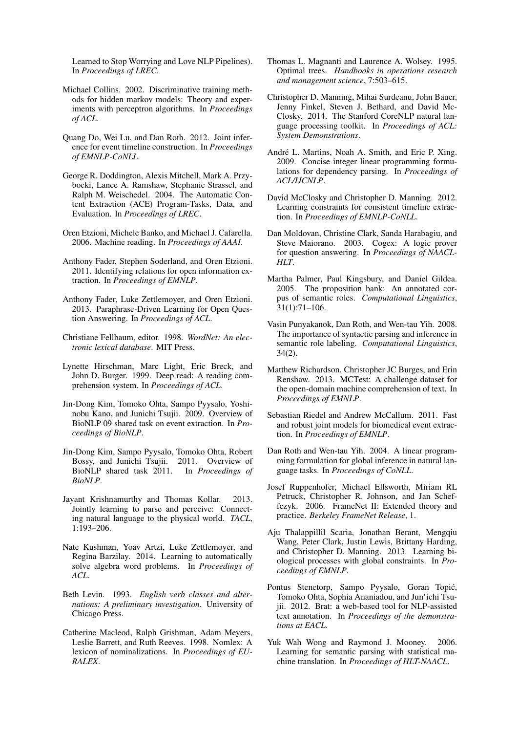Learned to Stop Worrying and Love NLP Pipelines). In *Proceedings of LREC*.

- Michael Collins. 2002. Discriminative training methods for hidden markov models: Theory and experiments with perceptron algorithms. In *Proceedings of ACL*.
- Quang Do, Wei Lu, and Dan Roth. 2012. Joint inference for event timeline construction. In *Proceedings of EMNLP-CoNLL*.
- George R. Doddington, Alexis Mitchell, Mark A. Przybocki, Lance A. Ramshaw, Stephanie Strassel, and Ralph M. Weischedel. 2004. The Automatic Content Extraction (ACE) Program-Tasks, Data, and Evaluation. In *Proceedings of LREC*.
- Oren Etzioni, Michele Banko, and Michael J. Cafarella. 2006. Machine reading. In *Proceedings of AAAI*.
- Anthony Fader, Stephen Soderland, and Oren Etzioni. 2011. Identifying relations for open information extraction. In *Proceedings of EMNLP*.
- Anthony Fader, Luke Zettlemoyer, and Oren Etzioni. 2013. Paraphrase-Driven Learning for Open Question Answering. In *Proceedings of ACL*.
- Christiane Fellbaum, editor. 1998. *WordNet: An electronic lexical database*. MIT Press.
- Lynette Hirschman, Marc Light, Eric Breck, and John D. Burger. 1999. Deep read: A reading comprehension system. In *Proceedings of ACL*.
- Jin-Dong Kim, Tomoko Ohta, Sampo Pyysalo, Yoshinobu Kano, and Junichi Tsujii. 2009. Overview of BioNLP 09 shared task on event extraction. In *Proceedings of BioNLP*.
- Jin-Dong Kim, Sampo Pyysalo, Tomoko Ohta, Robert Bossy, and Junichi Tsujii. 2011. Overview of BioNLP shared task 2011. In *Proceedings of BioNLP*.
- Jayant Krishnamurthy and Thomas Kollar. 2013. Jointly learning to parse and perceive: Connecting natural language to the physical world. *TACL*, 1:193–206.
- Nate Kushman, Yoav Artzi, Luke Zettlemoyer, and Regina Barzilay. 2014. Learning to automatically solve algebra word problems. In *Proceedings of ACL*.
- Beth Levin. 1993. *English verb classes and alternations: A preliminary investigation*. University of Chicago Press.
- Catherine Macleod, Ralph Grishman, Adam Meyers, Leslie Barrett, and Ruth Reeves. 1998. Nomlex: A lexicon of nominalizations. In *Proceedings of EU-RALEX*.
- Thomas L. Magnanti and Laurence A. Wolsey. 1995. Optimal trees. *Handbooks in operations research and management science*, 7:503–615.
- Christopher D. Manning, Mihai Surdeanu, John Bauer, Jenny Finkel, Steven J. Bethard, and David Mc-Closky. 2014. The Stanford CoreNLP natural language processing toolkit. In *Proceedings of ACL: System Demonstrations*.
- André L. Martins, Noah A. Smith, and Eric P. Xing. 2009. Concise integer linear programming formulations for dependency parsing. In *Proceedings of ACL/IJCNLP*.
- David McClosky and Christopher D. Manning. 2012. Learning constraints for consistent timeline extraction. In *Proceedings of EMNLP-CoNLL*.
- Dan Moldovan, Christine Clark, Sanda Harabagiu, and Steve Maiorano. 2003. Cogex: A logic prover for question answering. In *Proceedings of NAACL-HLT*.
- Martha Palmer, Paul Kingsbury, and Daniel Gildea. 2005. The proposition bank: An annotated corpus of semantic roles. *Computational Linguistics*, 31(1):71–106.
- Vasin Punyakanok, Dan Roth, and Wen-tau Yih. 2008. The importance of syntactic parsing and inference in semantic role labeling. *Computational Linguistics*, 34(2).
- Matthew Richardson, Christopher JC Burges, and Erin Renshaw. 2013. MCTest: A challenge dataset for the open-domain machine comprehension of text. In *Proceedings of EMNLP*.
- Sebastian Riedel and Andrew McCallum. 2011. Fast and robust joint models for biomedical event extraction. In *Proceedings of EMNLP*.
- Dan Roth and Wen-tau Yih. 2004. A linear programming formulation for global inference in natural language tasks. In *Proceedings of CoNLL*.
- Josef Ruppenhofer, Michael Ellsworth, Miriam RL Petruck, Christopher R. Johnson, and Jan Scheffczyk. 2006. FrameNet II: Extended theory and practice. *Berkeley FrameNet Release*, 1.
- Aju Thalappillil Scaria, Jonathan Berant, Mengqiu Wang, Peter Clark, Justin Lewis, Brittany Harding, and Christopher D. Manning. 2013. Learning biological processes with global constraints. In *Proceedings of EMNLP*.
- Pontus Stenetorp, Sampo Pyysalo, Goran Topic,´ Tomoko Ohta, Sophia Ananiadou, and Jun'ichi Tsujii. 2012. Brat: a web-based tool for NLP-assisted text annotation. In *Proceedings of the demonstrations at EACL*.
- Yuk Wah Wong and Raymond J. Mooney. 2006. Learning for semantic parsing with statistical machine translation. In *Proceedings of HLT-NAACL*.